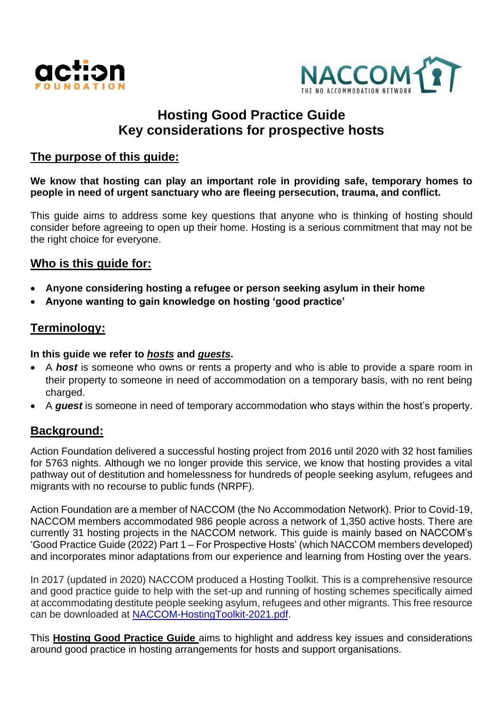



# **Hosting Good Practice Guide Key considerations for prospective hosts**

## **The purpose of this guide:**

**We know that hosting can play an important role in providing safe, temporary homes to people in need of urgent sanctuary who are fleeing persecution, trauma, and conflict.**

This guide aims to address some key questions that anyone who is thinking of hosting should consider before agreeing to open up their home. Hosting is a serious commitment that may not be the right choice for everyone.

## **Who is this guide for:**

- **Anyone considering hosting a refugee or person seeking asylum in their home**
- **Anyone wanting to gain knowledge on hosting 'good practice'**

## **Terminology:**

#### **In this guide we refer to** *hosts* **and** *guests***.**

- A *host* is someone who owns or rents a property and who is able to provide a spare room in their property to someone in need of accommodation on a temporary basis, with no rent being charged.
- A *guest* is someone in need of temporary accommodation who stays within the host's property.

## **Background:**

Action Foundation delivered a successful hosting project from 2016 until 2020 with 32 host families for 5763 nights. Although we no longer provide this service, we know that hosting provides a vital pathway out of destitution and homelessness for hundreds of people seeking asylum, refugees and migrants with no recourse to public funds (NRPF).

Action Foundation are a member of NACCOM (the No Accommodation Network). Prior to Covid-19, NACCOM members accommodated 986 people across a network of 1,350 active hosts. There are currently 31 hosting projects in the NACCOM network. This guide is mainly based on NACCOM's 'Good Practice Guide (2022) Part 1 – For Prospective Hosts' (which NACCOM members developed) and incorporates minor adaptations from our experience and learning from Hosting over the years.

In 2017 (updated in 2020) NACCOM produced a Hosting Toolkit. This is a comprehensive resource and good practice guide to help with the set-up and running of hosting schemes specifically aimed at accommodating destitute people seeking asylum, refugees and other migrants. This free resource can be downloaded at [NACCOM-HostingToolkit-2021.pdf.](https://naccom.org.uk/wp-content/uploads/2020/10/NACCOM-HostingToolkit_2020-03-11-final-digital.pdf)

This **Hosting Good Practice Guide** aims to highlight and address key issues and considerations around good practice in hosting arrangements for hosts and support organisations.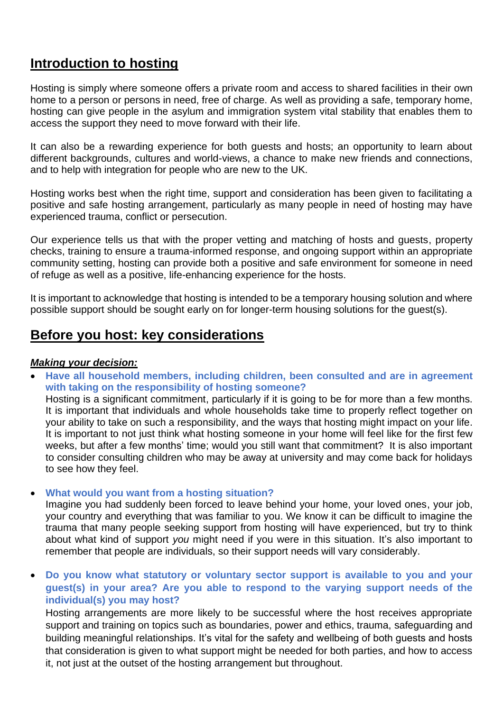# **Introduction to hosting**

Hosting is simply where someone offers a private room and access to shared facilities in their own home to a person or persons in need, free of charge. As well as providing a safe, temporary home, hosting can give people in the asylum and immigration system vital stability that enables them to access the support they need to move forward with their life.

It can also be a rewarding experience for both guests and hosts; an opportunity to learn about different backgrounds, cultures and world-views, a chance to make new friends and connections, and to help with integration for people who are new to the UK.

Hosting works best when the right time, support and consideration has been given to facilitating a positive and safe hosting arrangement, particularly as many people in need of hosting may have experienced trauma, conflict or persecution.

Our experience tells us that with the proper vetting and matching of hosts and guests, property checks, training to ensure a trauma-informed response, and ongoing support within an appropriate community setting, hosting can provide both a positive and safe environment for someone in need of refuge as well as a positive, life-enhancing experience for the hosts.

It is important to acknowledge that hosting is intended to be a temporary housing solution and where possible support should be sought early on for longer-term housing solutions for the guest(s).

## **Before you host: key considerations**

#### *Making your decision:*

• **Have all household members, including children, been consulted and are in agreement with taking on the responsibility of hosting someone?**

Hosting is a significant commitment, particularly if it is going to be for more than a few months. It is important that individuals and whole households take time to properly reflect together on your ability to take on such a responsibility, and the ways that hosting might impact on your life. It is important to not just think what hosting someone in your home will feel like for the first few weeks, but after a few months' time; would you still want that commitment? It is also important to consider consulting children who may be away at university and may come back for holidays to see how they feel.

#### • **What would you want from a hosting situation?**

Imagine you had suddenly been forced to leave behind your home, your loved ones, your job, your country and everything that was familiar to you. We know it can be difficult to imagine the trauma that many people seeking support from hosting will have experienced, but try to think about what kind of support *you* might need if you were in this situation. It's also important to remember that people are individuals, so their support needs will vary considerably.

• **Do you know what statutory or voluntary sector support is available to you and your guest(s) in your area? Are you able to respond to the varying support needs of the individual(s) you may host?** 

Hosting arrangements are more likely to be successful where the host receives appropriate support and training on topics such as boundaries, power and ethics, trauma, safeguarding and building meaningful relationships. It's vital for the safety and wellbeing of both guests and hosts that consideration is given to what support might be needed for both parties, and how to access it, not just at the outset of the hosting arrangement but throughout.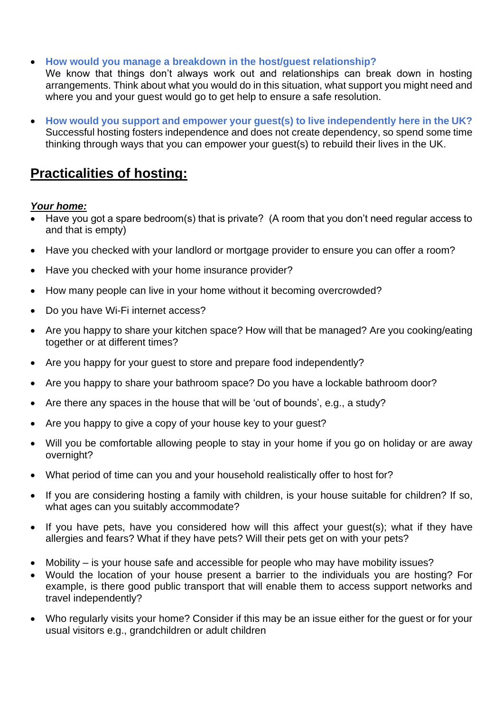• **How would you manage a breakdown in the host/guest relationship?**

We know that things don't always work out and relationships can break down in hosting arrangements. Think about what you would do in this situation, what support you might need and where you and your guest would go to get help to ensure a safe resolution.

• **How would you support and empower your guest(s) to live independently here in the UK?** Successful hosting fosters independence and does not create dependency, so spend some time thinking through ways that you can empower your guest(s) to rebuild their lives in the UK.

# **Practicalities of hosting:**

### *Your home:*

- Have you got a spare bedroom(s) that is private? (A room that you don't need regular access to and that is empty)
- Have you checked with your landlord or mortgage provider to ensure you can offer a room?
- Have you checked with your home insurance provider?
- How many people can live in your home without it becoming overcrowded?
- Do you have Wi-Fi internet access?
- Are you happy to share your kitchen space? How will that be managed? Are you cooking/eating together or at different times?
- Are you happy for your guest to store and prepare food independently?
- Are you happy to share your bathroom space? Do you have a lockable bathroom door?
- Are there any spaces in the house that will be 'out of bounds', e.g., a study?
- Are you happy to give a copy of your house key to your guest?
- Will you be comfortable allowing people to stay in your home if you go on holiday or are away overnight?
- What period of time can you and your household realistically offer to host for?
- If you are considering hosting a family with children, is your house suitable for children? If so, what ages can you suitably accommodate?
- If you have pets, have you considered how will this affect your guest(s); what if they have allergies and fears? What if they have pets? Will their pets get on with your pets?
- Mobility is your house safe and accessible for people who may have mobility issues?
- Would the location of your house present a barrier to the individuals you are hosting? For example, is there good public transport that will enable them to access support networks and travel independently?
- Who regularly visits your home? Consider if this may be an issue either for the guest or for your usual visitors e.g., grandchildren or adult children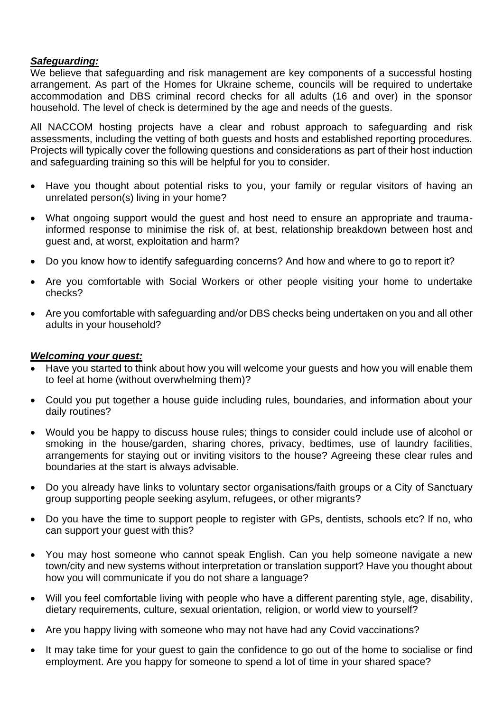#### *Safeguarding:*

We believe that safeguarding and risk management are key components of a successful hosting arrangement. As part of the Homes for Ukraine scheme, councils will be required to undertake accommodation and DBS criminal record checks for all adults (16 and over) in the sponsor household. The level of check is determined by the age and needs of the guests.

All NACCOM hosting projects have a clear and robust approach to safeguarding and risk assessments, including the vetting of both guests and hosts and established reporting procedures. Projects will typically cover the following questions and considerations as part of their host induction and safeguarding training so this will be helpful for you to consider.

- Have you thought about potential risks to you, your family or regular visitors of having an unrelated person(s) living in your home?
- What ongoing support would the guest and host need to ensure an appropriate and traumainformed response to minimise the risk of, at best, relationship breakdown between host and guest and, at worst, exploitation and harm?
- Do you know how to identify safeguarding concerns? And how and where to go to report it?
- Are you comfortable with Social Workers or other people visiting your home to undertake checks?
- Are you comfortable with safeguarding and/or DBS checks being undertaken on you and all other adults in your household?

#### *Welcoming your guest:*

- Have you started to think about how you will welcome your guests and how you will enable them to feel at home (without overwhelming them)?
- Could you put together a house guide including rules, boundaries, and information about your daily routines?
- Would you be happy to discuss house rules; things to consider could include use of alcohol or smoking in the house/garden, sharing chores, privacy, bedtimes, use of laundry facilities, arrangements for staying out or inviting visitors to the house? Agreeing these clear rules and boundaries at the start is always advisable.
- Do you already have links to voluntary sector organisations/faith groups or a City of Sanctuary group supporting people seeking asylum, refugees, or other migrants?
- Do you have the time to support people to register with GPs, dentists, schools etc? If no, who can support your guest with this?
- You may host someone who cannot speak English. Can you help someone navigate a new town/city and new systems without interpretation or translation support? Have you thought about how you will communicate if you do not share a language?
- Will you feel comfortable living with people who have a different parenting style, age, disability, dietary requirements, culture, sexual orientation, religion, or world view to yourself?
- Are you happy living with someone who may not have had any Covid vaccinations?
- It may take time for your guest to gain the confidence to go out of the home to socialise or find employment. Are you happy for someone to spend a lot of time in your shared space?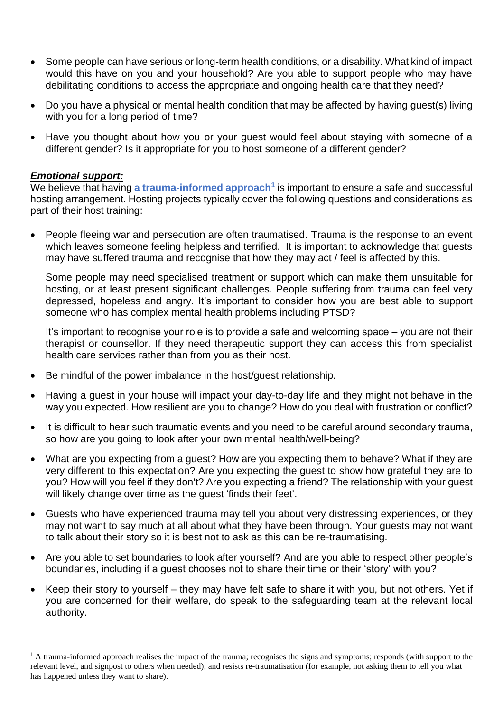- Some people can have serious or long-term health conditions, or a disability. What kind of impact would this have on you and your household? Are you able to support people who may have debilitating conditions to access the appropriate and ongoing health care that they need?
- Do you have a physical or mental health condition that may be affected by having guest(s) living with you for a long period of time?
- Have you thought about how you or your guest would feel about staying with someone of a different gender? Is it appropriate for you to host someone of a different gender?

#### *Emotional support:*

We believe that having **a trauma-informed approach<sup>1</sup>** is important to ensure a safe and successful hosting arrangement. Hosting projects typically cover the following questions and considerations as part of their host training:

• People fleeing war and persecution are often traumatised. Trauma is the response to an event which leaves someone feeling helpless and terrified. It is important to acknowledge that guests may have suffered trauma and recognise that how they may act / feel is affected by this.

Some people may need specialised treatment or support which can make them unsuitable for hosting, or at least present significant challenges. People suffering from trauma can feel very depressed, hopeless and angry. It's important to consider how you are best able to support someone who has complex mental health problems including PTSD?

It's important to recognise your role is to provide a safe and welcoming space – you are not their therapist or counsellor. If they need therapeutic support they can access this from specialist health care services rather than from you as their host.

- Be mindful of the power imbalance in the host/guest relationship.
- Having a guest in your house will impact your day-to-day life and they might not behave in the way you expected. How resilient are you to change? How do you deal with frustration or conflict?
- It is difficult to hear such traumatic events and you need to be careful around secondary trauma, so how are you going to look after your own mental health/well-being?
- What are you expecting from a quest? How are you expecting them to behave? What if they are very different to this expectation? Are you expecting the guest to show how grateful they are to you? How will you feel if they don't? Are you expecting a friend? The relationship with your guest will likely change over time as the guest 'finds their feet'.
- Guests who have experienced trauma may tell you about very distressing experiences, or they may not want to say much at all about what they have been through. Your guests may not want to talk about their story so it is best not to ask as this can be re-traumatising.
- Are you able to set boundaries to look after yourself? And are you able to respect other people's boundaries, including if a guest chooses not to share their time or their 'story' with you?
- Keep their story to yourself they may have felt safe to share it with you, but not others. Yet if you are concerned for their welfare, do speak to the safeguarding team at the relevant local authority.

<sup>&</sup>lt;sup>1</sup> A trauma-informed approach realises the impact of the trauma; recognises the signs and symptoms; responds (with support to the relevant level, and signpost to others when needed); and resists re-traumatisation (for example, not asking them to tell you what has happened unless they want to share).